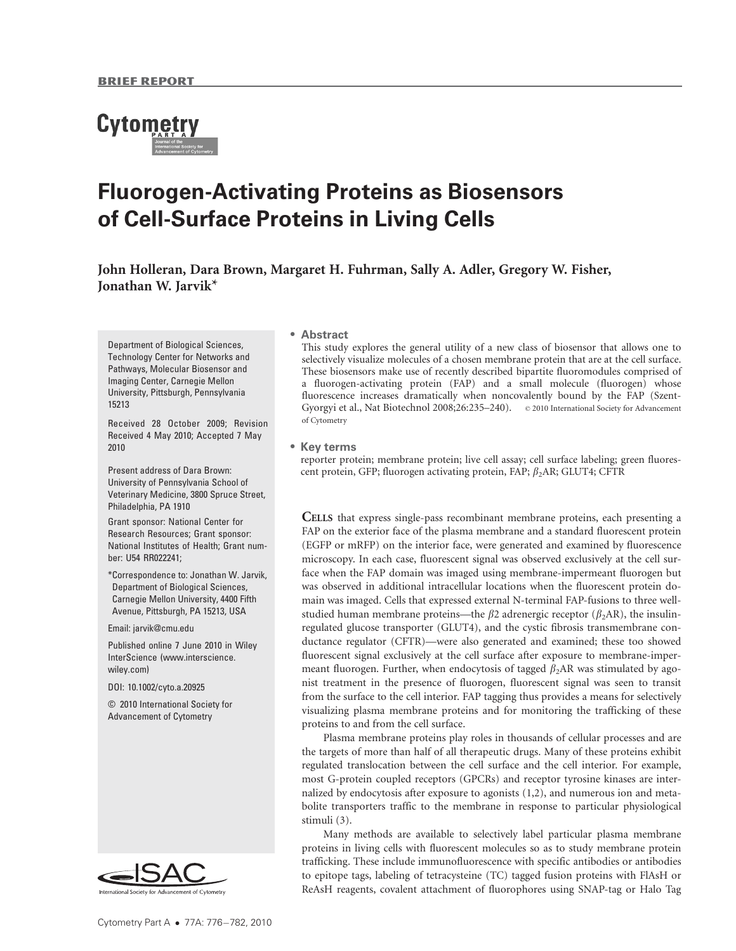# **Cytometry**

# Fluorogen-Activating Proteins as Biosensors of Cell-Surface Proteins in Living Cells

John Holleran, Dara Brown, Margaret H. Fuhrman, Sally A. Adler, Gregory W. Fisher, Jonathan W. Jarvik\*

Department of Biological Sciences, Technology Center for Networks and Pathways, Molecular Biosensor and Imaging Center, Carnegie Mellon University, Pittsburgh, Pennsylvania 15213

Received 28 October 2009; Revision Received 4 May 2010; Accepted 7 May 2010

Present address of Dara Brown: University of Pennsylvania School of Veterinary Medicine, 3800 Spruce Street, Philadelphia, PA 1910

Grant sponsor: National Center for Research Resources; Grant sponsor: National Institutes of Health; Grant number: U54 RR022241;

\*Correspondence to: Jonathan W. Jarvik, Department of Biological Sciences, Carnegie Mellon University, 4400 Fifth Avenue, Pittsburgh, PA 15213, USA

Email: jarvik@cmu.edu

Published online 7 June 2010 in Wiley InterScience (www.interscience. wiley.com)

DOI: 10.1002/cyto.a.20925

© 2010 International Society for Advancement of Cytometry



#### ! Abstract

This study explores the general utility of a new class of biosensor that allows one to selectively visualize molecules of a chosen membrane protein that are at the cell surface. These biosensors make use of recently described bipartite fluoromodules comprised of a fluorogen-activating protein (FAP) and a small molecule (fluorogen) whose fluorescence increases dramatically when noncovalently bound by the FAP (Szent-Gyorgyi et al., Nat Biotechnol 2008;26:235-240).  $\circ$  2010 International Society for Advancement of Cytometry

#### • Key terms

reporter protein; membrane protein; live cell assay; cell surface labeling; green fluorescent protein, GFP; fluorogen activating protein, FAP;  $\beta_2$ AR; GLUT4; CFTR

CELLS that express single-pass recombinant membrane proteins, each presenting a FAP on the exterior face of the plasma membrane and a standard fluorescent protein (EGFP or mRFP) on the interior face, were generated and examined by fluorescence microscopy. In each case, fluorescent signal was observed exclusively at the cell surface when the FAP domain was imaged using membrane-impermeant fluorogen but was observed in additional intracellular locations when the fluorescent protein domain was imaged. Cells that expressed external N-terminal FAP-fusions to three wellstudied human membrane proteins—the  $\beta$ 2 adrenergic receptor ( $\beta$ <sub>2</sub>AR), the insulinregulated glucose transporter (GLUT4), and the cystic fibrosis transmembrane conductance regulator (CFTR)—were also generated and examined; these too showed fluorescent signal exclusively at the cell surface after exposure to membrane-impermeant fluorogen. Further, when endocytosis of tagged  $\beta_2$ AR was stimulated by agonist treatment in the presence of fluorogen, fluorescent signal was seen to transit from the surface to the cell interior. FAP tagging thus provides a means for selectively visualizing plasma membrane proteins and for monitoring the trafficking of these proteins to and from the cell surface.

Plasma membrane proteins play roles in thousands of cellular processes and are the targets of more than half of all therapeutic drugs. Many of these proteins exhibit regulated translocation between the cell surface and the cell interior. For example, most G-protein coupled receptors (GPCRs) and receptor tyrosine kinases are internalized by endocytosis after exposure to agonists (1,2), and numerous ion and metabolite transporters traffic to the membrane in response to particular physiological stimuli (3).

Many methods are available to selectively label particular plasma membrane proteins in living cells with fluorescent molecules so as to study membrane protein trafficking. These include immunofluorescence with specific antibodies or antibodies to epitope tags, labeling of tetracysteine (TC) tagged fusion proteins with FlAsH or ReAsH reagents, covalent attachment of fluorophores using SNAP-tag or Halo Tag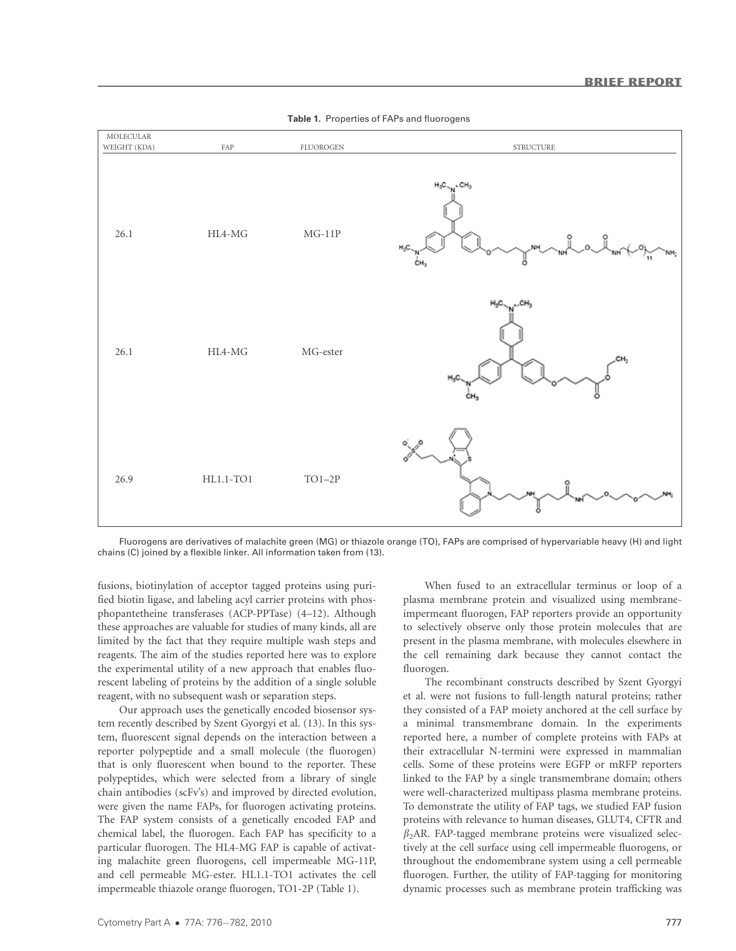

Table 1. Properties of FAPs and fluorogens

Fluorogens are derivatives of malachite green (MG) or thiazole orange (TO), FAPs are comprised of hypervariable heavy (H) and light chains (C) joined by a flexible linker. All information taken from (13).

fusions, biotinylation of acceptor tagged proteins using purified biotin ligase, and labeling acyl carrier proteins with phosphopantetheine transferases (ACP-PPTase) (4–12). Although these approaches are valuable for studies of many kinds, all are limited by the fact that they require multiple wash steps and reagents. The aim of the studies reported here was to explore the experimental utility of a new approach that enables fluorescent labeling of proteins by the addition of a single soluble reagent, with no subsequent wash or separation steps.

Our approach uses the genetically encoded biosensor system recently described by Szent Gyorgyi et al. (13). In this system, fluorescent signal depends on the interaction between a reporter polypeptide and a small molecule (the fluorogen) that is only fluorescent when bound to the reporter. These polypeptides, which were selected from a library of single chain antibodies (scFv's) and improved by directed evolution, were given the name FAPs, for fluorogen activating proteins. The FAP system consists of a genetically encoded FAP and chemical label, the fluorogen. Each FAP has specificity to a particular fluorogen. The HL4-MG FAP is capable of activating malachite green fluorogens, cell impermeable MG-11P, and cell permeable MG-ester. HL1.1-TO1 activates the cell impermeable thiazole orange fluorogen, TO1-2P (Table 1).

When fused to an extracellular terminus or loop of a plasma membrane protein and visualized using membraneimpermeant fluorogen, FAP reporters provide an opportunity to selectively observe only those protein molecules that are present in the plasma membrane, with molecules elsewhere in the cell remaining dark because they cannot contact the fluorogen.

The recombinant constructs described by Szent Gyorgyi et al. were not fusions to full-length natural proteins; rather they consisted of a FAP moiety anchored at the cell surface by a minimal transmembrane domain. In the experiments reported here, a number of complete proteins with FAPs at their extracellular N-termini were expressed in mammalian cells. Some of these proteins were EGFP or mRFP reporters linked to the FAP by a single transmembrane domain; others were well-characterized multipass plasma membrane proteins. To demonstrate the utility of FAP tags, we studied FAP fusion proteins with relevance to human diseases, GLUT4, CFTR and  $\beta_2$ AR. FAP-tagged membrane proteins were visualized selectively at the cell surface using cell impermeable fluorogens, or throughout the endomembrane system using a cell permeable fluorogen. Further, the utility of FAP-tagging for monitoring dynamic processes such as membrane protein trafficking was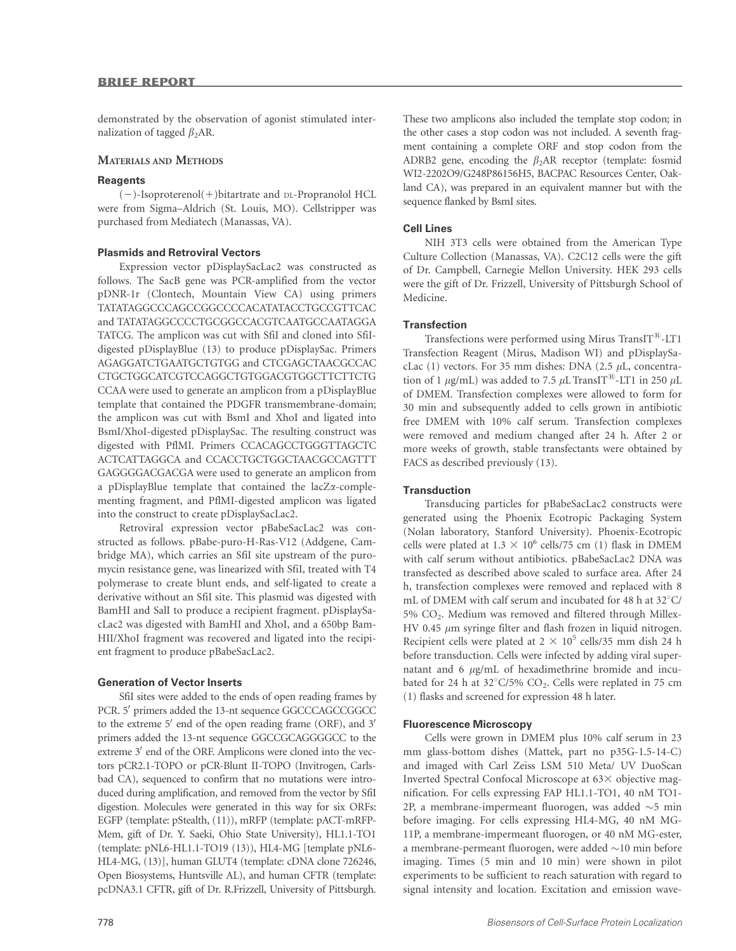demonstrated by the observation of agonist stimulated internalization of tagged  $\beta_2$ AR.

#### MATERIALS AND METHODS

#### **Reagents**

(2)-Isoproterenol(1)bitartrate and DL-Propranolol HCL were from Sigma–Aldrich (St. Louis, MO). Cellstripper was purchased from Mediatech (Manassas, VA).

#### Plasmids and Retroviral Vectors

Expression vector pDisplaySacLac2 was constructed as follows. The SacB gene was PCR-amplified from the vector pDNR-1r (Clontech, Mountain View CA) using primers TATATAGGCCCAGCCGGCCCCACATATACCTGCCGTTCAC and TATATAGGCCCCTGCGGCCACGTCAATGCCAATAGGA TATCG. The amplicon was cut with SfiI and cloned into SfiIdigested pDisplayBlue (13) to produce pDisplaySac. Primers AGAGGATCTGAATGCTGTGG and CTCGAGCTAACGCCAC CTGCTGGCATCGTCCAGGCTGTGGACGTGGCTTCTTCTG CCAA were used to generate an amplicon from a pDisplayBlue template that contained the PDGFR transmembrane-domain; the amplicon was cut with BsmI and XhoI and ligated into BsmI/XhoI-digested pDisplaySac. The resulting construct was digested with PflMI. Primers CCACAGCCTGGGTTAGCTC ACTCATTAGGCA and CCACCTGCTGGCTAACGCCAGTTT GAGGGGACGACGA were used to generate an amplicon from a pDisplayBlue template that contained the lacZa-complementing fragment, and PflMI-digested amplicon was ligated into the construct to create pDisplaySacLac2.

Retroviral expression vector pBabeSacLac2 was constructed as follows. pBabe-puro-H-Ras-V12 (Addgene, Cambridge MA), which carries an SfiI site upstream of the puromycin resistance gene, was linearized with SfiI, treated with T4 polymerase to create blunt ends, and self-ligated to create a derivative without an SfiI site. This plasmid was digested with BamHI and SalI to produce a recipient fragment. pDisplaySacLac2 was digested with BamHI and XhoI, and a 650bp Bam-HII/XhoI fragment was recovered and ligated into the recipient fragment to produce pBabeSacLac2.

#### Generation of Vector Inserts

SfiI sites were added to the ends of open reading frames by PCR. 5' primers added the 13-nt sequence GGCCCAGCCGGCC to the extreme  $5'$  end of the open reading frame (ORF), and  $3'$ primers added the 13-nt sequence GGCCGCAGGGGCC to the extreme 3' end of the ORF. Amplicons were cloned into the vectors pCR2.1-TOPO or pCR-Blunt II-TOPO (Invitrogen, Carlsbad CA), sequenced to confirm that no mutations were introduced during amplification, and removed from the vector by SfiI digestion. Molecules were generated in this way for six ORFs: EGFP (template: pStealth, (11)), mRFP (template: pACT-mRFP-Mem, gift of Dr. Y. Saeki, Ohio State University), HL1.1-TO1 (template: pNL6-HL1.1-TO19 (13)), HL4-MG [template pNL6- HL4-MG, (13)], human GLUT4 (template: cDNA clone 726246, Open Biosystems, Huntsville AL), and human CFTR (template: pcDNA3.1 CFTR, gift of Dr. R.Frizzell, University of Pittsburgh.

These two amplicons also included the template stop codon; in the other cases a stop codon was not included. A seventh fragment containing a complete ORF and stop codon from the ADRB2 gene, encoding the  $\beta_2$ AR receptor (template: fosmid WI2-2202O9/G248P86156H5, BACPAC Resources Center, Oakland CA), was prepared in an equivalent manner but with the sequence flanked by BsmI sites.

#### Cell Lines

NIH 3T3 cells were obtained from the American Type Culture Collection (Manassas, VA). C2C12 cells were the gift of Dr. Campbell, Carnegie Mellon University. HEK 293 cells were the gift of Dr. Frizzell, University of Pittsburgh School of Medicine.

#### **Transfection**

Transfections were performed using Mirus TransIT<sup>®</sup>-LT1 Transfection Reagent (Mirus, Madison WI) and pDisplaySacLac (1) vectors. For 35 mm dishes: DNA (2.5  $\mu$ L, concentration of 1  $\mu$ g/mL) was added to 7.5  $\mu$ L TransIT<sup>®</sup>-LT1 in 250  $\mu$ L of DMEM. Transfection complexes were allowed to form for 30 min and subsequently added to cells grown in antibiotic free DMEM with 10% calf serum. Transfection complexes were removed and medium changed after 24 h. After 2 or more weeks of growth, stable transfectants were obtained by FACS as described previously (13).

#### **Transduction**

Transducing particles for pBabeSacLac2 constructs were generated using the Phoenix Ecotropic Packaging System (Nolan laboratory, Stanford University). Phoenix-Ecotropic cells were plated at  $1.3 \times 10^6$  cells/75 cm (1) flask in DMEM with calf serum without antibiotics. pBabeSacLac2 DNA was transfected as described above scaled to surface area. After 24 h, transfection complexes were removed and replaced with 8 mL of DMEM with calf serum and incubated for 48 h at 32 $^{\circ}$ C/ 5% CO2. Medium was removed and filtered through Millex-HV 0.45  $\mu$ m syringe filter and flash frozen in liquid nitrogen. Recipient cells were plated at  $2 \times 10^5$  cells/35 mm dish 24 h before transduction. Cells were infected by adding viral supernatant and  $6 \mu g/mL$  of hexadimethrine bromide and incubated for 24 h at  $32^{\circ}$ C/5% CO<sub>2</sub>. Cells were replated in 75 cm (1) flasks and screened for expression 48 h later.

#### Fluorescence Microscopy

Cells were grown in DMEM plus 10% calf serum in 23 mm glass-bottom dishes (Mattek, part no p35G-1.5-14-C) and imaged with Carl Zeiss LSM 510 Meta/ UV DuoScan Inverted Spectral Confocal Microscope at  $63\times$  objective magnification. For cells expressing FAP HL1.1-TO1, 40 nM TO1- 2P, a membrane-impermeant fluorogen, was added  $\sim$ 5 min before imaging. For cells expressing HL4-MG, 40 nM MG-11P, a membrane-impermeant fluorogen, or 40 nM MG-ester, a membrane-permeant fluorogen, were added  $\sim$ 10 min before imaging. Times (5 min and 10 min) were shown in pilot experiments to be sufficient to reach saturation with regard to signal intensity and location. Excitation and emission wave-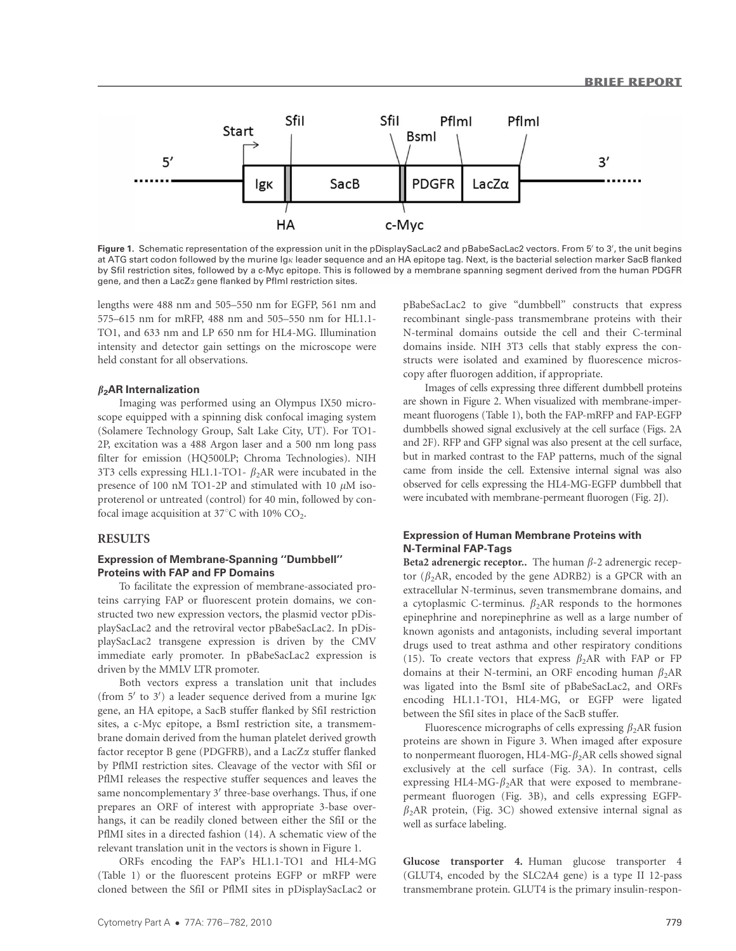

Figure 1. Schematic representation of the expression unit in the pDisplaySacLac2 and pBabeSacLac2 vectors. From 5' to 3', the unit begins at ATG start codon followed by the murine Ig<sub>K</sub> leader sequence and an HA epitope tag. Next, is the bacterial selection marker SacB flanked by SfiI restriction sites, followed by a c-Myc epitope. This is followed by a membrane spanning segment derived from the human PDGFR gene, and then a LacZa gene flanked by PflmI restriction sites.

lengths were 488 nm and 505–550 nm for EGFP, 561 nm and 575–615 nm for mRFP, 488 nm and 505–550 nm for HL1.1- TO1, and 633 nm and LP 650 nm for HL4-MG. Illumination intensity and detector gain settings on the microscope were held constant for all observations.

#### $\beta_2$ AR Internalization

Imaging was performed using an Olympus IX50 microscope equipped with a spinning disk confocal imaging system (Solamere Technology Group, Salt Lake City, UT). For TO1- 2P, excitation was a 488 Argon laser and a 500 nm long pass filter for emission (HQ500LP; Chroma Technologies). NIH 3T3 cells expressing HL1.1-TO1-  $\beta_2$ AR were incubated in the presence of 100 nM TO1-2P and stimulated with 10  $\mu$ M isoproterenol or untreated (control) for 40 min, followed by confocal image acquisition at  $37^{\circ}$ C with 10% CO<sub>2</sub>.

#### RESULTS

# Expression of Membrane-Spanning ''Dumbbell'' Proteins with FAP and FP Domains

To facilitate the expression of membrane-associated proteins carrying FAP or fluorescent protein domains, we constructed two new expression vectors, the plasmid vector pDisplaySacLac2 and the retroviral vector pBabeSacLac2. In pDisplaySacLac2 transgene expression is driven by the CMV immediate early promoter. In pBabeSacLac2 expression is driven by the MMLV LTR promoter.

Both vectors express a translation unit that includes (from  $5'$  to  $3'$ ) a leader sequence derived from a murine Ig $\kappa$ gene, an HA epitope, a SacB stuffer flanked by SfiI restriction sites, a c-Myc epitope, a BsmI restriction site, a transmembrane domain derived from the human platelet derived growth factor receptor B gene (PDGFRB), and a LacZa stuffer flanked by PflMI restriction sites. Cleavage of the vector with SfiI or PflMI releases the respective stuffer sequences and leaves the same noncomplementary  $3'$  three-base overhangs. Thus, if one prepares an ORF of interest with appropriate 3-base overhangs, it can be readily cloned between either the SfiI or the PflMI sites in a directed fashion (14). A schematic view of the relevant translation unit in the vectors is shown in Figure 1.

ORFs encoding the FAP's HL1.1-TO1 and HL4-MG (Table 1) or the fluorescent proteins EGFP or mRFP were cloned between the SfiI or PflMI sites in pDisplaySacLac2 or

pBabeSacLac2 to give ''dumbbell'' constructs that express recombinant single-pass transmembrane proteins with their N-terminal domains outside the cell and their C-terminal domains inside. NIH 3T3 cells that stably express the constructs were isolated and examined by fluorescence microscopy after fluorogen addition, if appropriate.

Images of cells expressing three different dumbbell proteins are shown in Figure 2. When visualized with membrane-impermeant fluorogens (Table 1), both the FAP-mRFP and FAP-EGFP dumbbells showed signal exclusively at the cell surface (Figs. 2A and 2F). RFP and GFP signal was also present at the cell surface, but in marked contrast to the FAP patterns, much of the signal came from inside the cell. Extensive internal signal was also observed for cells expressing the HL4-MG-EGFP dumbbell that were incubated with membrane-permeant fluorogen (Fig. 2J).

## Expression of Human Membrane Proteins with N-Terminal FAP-Tags

Beta2 adrenergic receptor.. The human  $\beta$ -2 adrenergic receptor ( $\beta_2$ AR, encoded by the gene ADRB2) is a GPCR with an extracellular N-terminus, seven transmembrane domains, and a cytoplasmic C-terminus.  $\beta_2$ AR responds to the hormones epinephrine and norepinephrine as well as a large number of known agonists and antagonists, including several important drugs used to treat asthma and other respiratory conditions (15). To create vectors that express  $\beta_2$ AR with FAP or FP domains at their N-termini, an ORF encoding human  $\beta_2$ AR was ligated into the BsmI site of pBabeSacLac2, and ORFs encoding HL1.1-TO1, HL4-MG, or EGFP were ligated between the SfiI sites in place of the SacB stuffer.

Fluorescence micrographs of cells expressing  $\beta_2$ AR fusion proteins are shown in Figure 3. When imaged after exposure to nonpermeant fluorogen, HL4-MG- $\beta_2$ AR cells showed signal exclusively at the cell surface (Fig. 3A). In contrast, cells expressing HL4-MG- $\beta_2$ AR that were exposed to membranepermeant fluorogen (Fig. 3B), and cells expressing EGFP- $\beta_2$ AR protein, (Fig. 3C) showed extensive internal signal as well as surface labeling.

Glucose transporter 4. Human glucose transporter 4 (GLUT4, encoded by the SLC2A4 gene) is a type II 12-pass transmembrane protein. GLUT4 is the primary insulin-respon-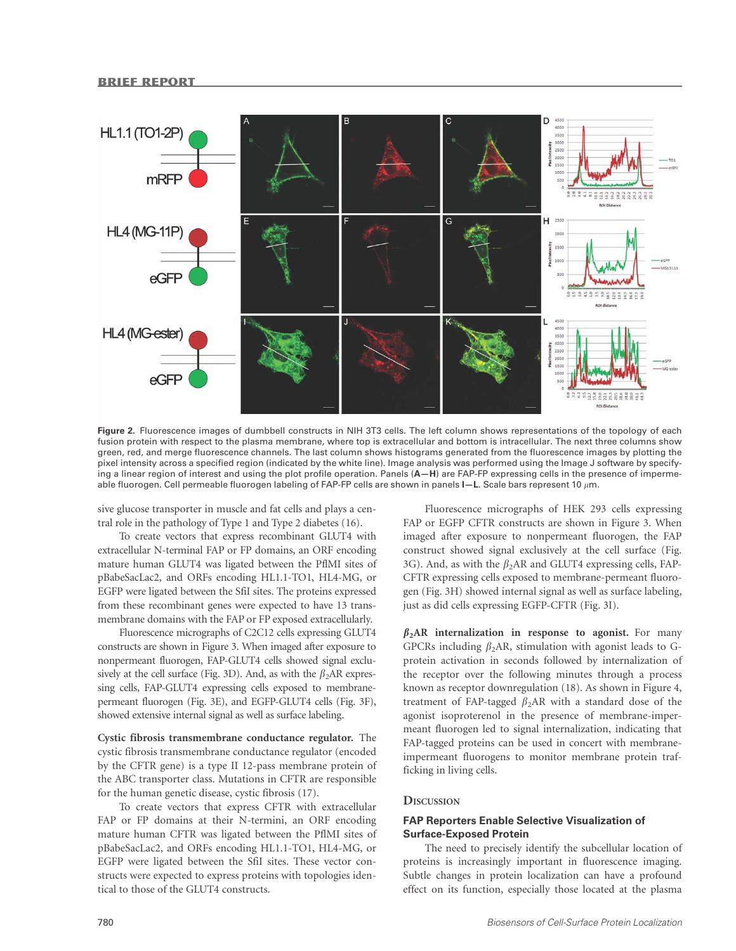

Figure 2. Fluorescence images of dumbbell constructs in NIH 3T3 cells. The left column shows representations of the topology of each fusion protein with respect to the plasma membrane, where top is extracellular and bottom is intracellular. The next three columns show green, red, and merge fluorescence channels. The last column shows histograms generated from the fluorescence images by plotting the pixel intensity across a specified region (indicated by the white line). Image analysis was performed using the Image J software by specifying a linear region of interest and using the plot profile operation. Panels (A-H) are FAP-FP expressing cells in the presence of impermeable fluorogen. Cell permeable fluorogen labeling of FAP-FP cells are shown in panels  $I-L$ . Scale bars represent 10  $\mu$ m.

sive glucose transporter in muscle and fat cells and plays a central role in the pathology of Type 1 and Type 2 diabetes (16).

To create vectors that express recombinant GLUT4 with extracellular N-terminal FAP or FP domains, an ORF encoding mature human GLUT4 was ligated between the PflMI sites of pBabeSacLac2, and ORFs encoding HL1.1-TO1, HL4-MG, or EGFP were ligated between the SfiI sites. The proteins expressed from these recombinant genes were expected to have 13 transmembrane domains with the FAP or FP exposed extracellularly.

Fluorescence micrographs of C2C12 cells expressing GLUT4 constructs are shown in Figure 3. When imaged after exposure to nonpermeant fluorogen, FAP-GLUT4 cells showed signal exclusively at the cell surface (Fig. 3D). And, as with the  $\beta_2$ AR expressing cells, FAP-GLUT4 expressing cells exposed to membranepermeant fluorogen (Fig. 3E), and EGFP-GLUT4 cells (Fig. 3F), showed extensive internal signal as well as surface labeling.

Cystic fibrosis transmembrane conductance regulator. The cystic fibrosis transmembrane conductance regulator (encoded by the CFTR gene) is a type II 12-pass membrane protein of the ABC transporter class. Mutations in CFTR are responsible for the human genetic disease, cystic fibrosis (17).

To create vectors that express CFTR with extracellular FAP or FP domains at their N-termini, an ORF encoding mature human CFTR was ligated between the PflMI sites of pBabeSacLac2, and ORFs encoding HL1.1-TO1, HL4-MG, or EGFP were ligated between the SfiI sites. These vector constructs were expected to express proteins with topologies identical to those of the GLUT4 constructs.

Fluorescence micrographs of HEK 293 cells expressing FAP or EGFP CFTR constructs are shown in Figure 3. When imaged after exposure to nonpermeant fluorogen, the FAP construct showed signal exclusively at the cell surface (Fig. 3G). And, as with the  $\beta_2$ AR and GLUT4 expressing cells, FAP-CFTR expressing cells exposed to membrane-permeant fluorogen (Fig. 3H) showed internal signal as well as surface labeling, just as did cells expressing EGFP-CFTR (Fig. 3I).

 $\beta_2$ AR internalization in response to agonist. For many GPCRs including  $\beta_2$ AR, stimulation with agonist leads to Gprotein activation in seconds followed by internalization of the receptor over the following minutes through a process known as receptor downregulation (18). As shown in Figure 4, treatment of FAP-tagged  $\beta_2$ AR with a standard dose of the agonist isoproterenol in the presence of membrane-impermeant fluorogen led to signal internalization, indicating that FAP-tagged proteins can be used in concert with membraneimpermeant fluorogens to monitor membrane protein trafficking in living cells.

# **DISCUSSION**

# FAP Reporters Enable Selective Visualization of Surface-Exposed Protein

The need to precisely identify the subcellular location of proteins is increasingly important in fluorescence imaging. Subtle changes in protein localization can have a profound effect on its function, especially those located at the plasma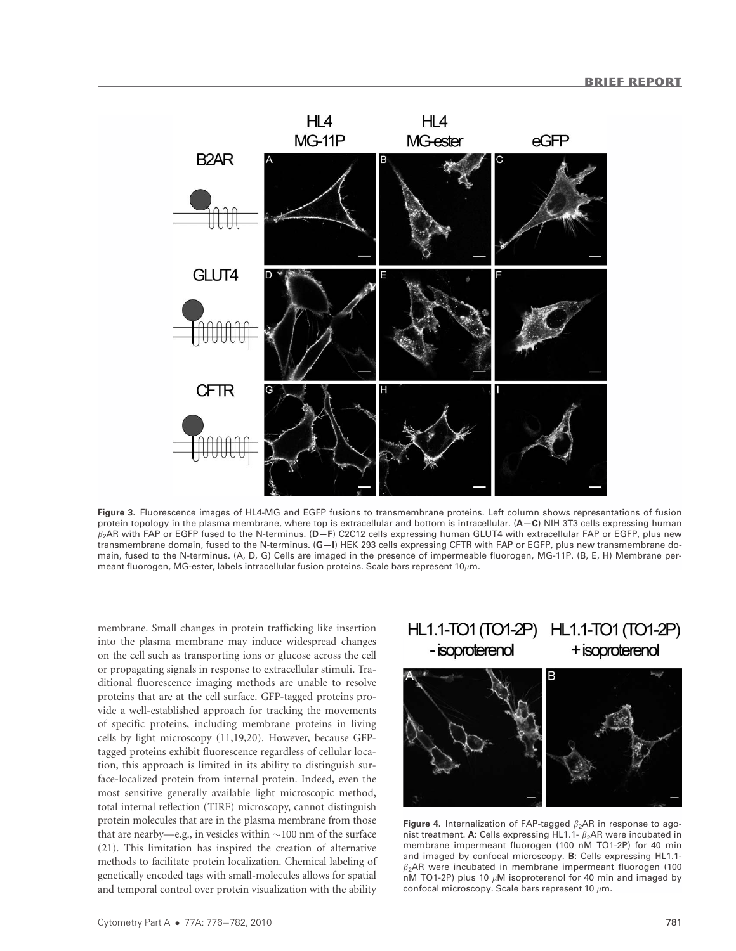

Figure 3. Fluorescence images of HL4-MG and EGFP fusions to transmembrane proteins. Left column shows representations of fusion protein topology in the plasma membrane, where top is extracellular and bottom is intracellular. (A-C) NIH 3T3 cells expressing human  $\beta_2$ AR with FAP or EGFP fused to the N-terminus. (D–F) C2C12 cells expressing human GLUT4 with extracellular FAP or EGFP, plus new transmembrane domain, fused to the N-terminus. (G-I) HEK 293 cells expressing CFTR with FAP or EGFP, plus new transmembrane domain, fused to the N-terminus. (A, D, G) Cells are imaged in the presence of impermeable fluorogen, MG-11P. (B, E, H) Membrane permeant fluorogen, MG-ester, labels intracellular fusion proteins. Scale bars represent 10 $\mu$ m.

membrane. Small changes in protein trafficking like insertion into the plasma membrane may induce widespread changes on the cell such as transporting ions or glucose across the cell or propagating signals in response to extracellular stimuli. Traditional fluorescence imaging methods are unable to resolve proteins that are at the cell surface. GFP-tagged proteins provide a well-established approach for tracking the movements of specific proteins, including membrane proteins in living cells by light microscopy (11,19,20). However, because GFPtagged proteins exhibit fluorescence regardless of cellular location, this approach is limited in its ability to distinguish surface-localized protein from internal protein. Indeed, even the most sensitive generally available light microscopic method, total internal reflection (TIRF) microscopy, cannot distinguish protein molecules that are in the plasma membrane from those that are nearby—e.g., in vesicles within  $\sim$ 100 nm of the surface (21). This limitation has inspired the creation of alternative methods to facilitate protein localization. Chemical labeling of genetically encoded tags with small-molecules allows for spatial and temporal control over protein visualization with the ability

#### HL1.1-TO1 (TO1-2P) HL1.1-TO1 (TO1-2P) - isoproterenol + isoproterenol



Figure 4. Internalization of FAP-tagged  $\beta_2$ AR in response to agonist treatment. A: Cells expressing HL1.1-  $\beta_2$ AR were incubated in membrane impermeant fluorogen (100 nM TO1-2P) for 40 min and imaged by confocal microscopy. B: Cells expressing HL1.1-  $\beta_2$ AR were incubated in membrane impermeant fluorogen (100 nM TO1-2P) plus 10  $\mu$ M isoproterenol for 40 min and imaged by confocal microscopy. Scale bars represent 10  $\mu$ m.